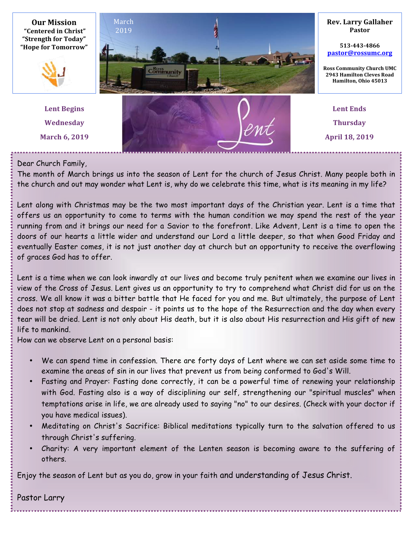

Dear Church Family,

The month of March brings us into the season of Lent for the church of Jesus Christ. Many people both in the church and out may wonder what Lent is, why do we celebrate this time, what is its meaning in my life?

Lent along with Christmas may be the two most important days of the Christian year. Lent is a time that offers us an opportunity to come to terms with the human condition we may spend the rest of the year running from and it brings our need for a Savior to the forefront. Like Advent, Lent is a time to open the doors of our hearts a little wider and understand our Lord a little deeper, so that when Good Friday and eventually Easter comes, it is not just another day at church but an opportunity to receive the overflowing of graces God has to offer.

Lent is a time when we can look inwardly at our lives and become truly penitent when we examine our lives in view of the Cross of Jesus. Lent gives us an opportunity to try to comprehend what Christ did for us on the cross. We all know it was a bitter battle that He faced for you and me. But ultimately, the purpose of Lent does not stop at sadness and despair - it points us to the hope of the Resurrection and the day when every tear will be dried. Lent is not only about His death, but it is also about His resurrection and His gift of new life to mankind.

How can we observe Lent on a personal basis:

- We can spend time in confession. There are forty days of Lent where we can set aside some time to examine the areas of sin in our lives that prevent us from being conformed to God's Will.
- Fasting and Prayer: Fasting done correctly, it can be a powerful time of renewing your relationship with God. Fasting also is a way of disciplining our self, strengthening our "spiritual muscles" when temptations arise in life, we are already used to saying "no" to our desires. (Check with your doctor if you have medical issues).
- Meditating on Christ's Sacrifice: Biblical meditations typically turn to the salvation offered to us through Christ's suffering.
- Charity: A very important element of the Lenten season is becoming aware to the suffering of others.

Enjoy the season of Lent but as you do, grow in your faith and understanding of Jesus Christ.

Pastor Larry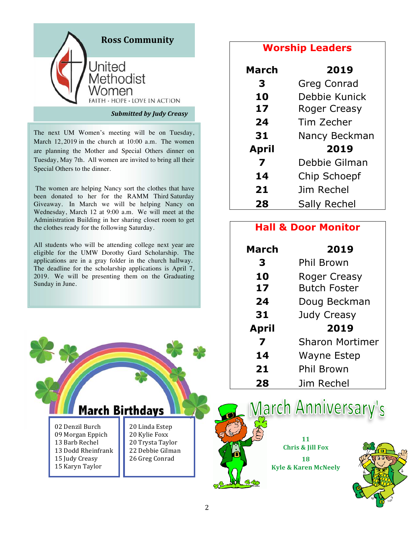

The next UM Women's meeting will be on Tuesday, March 12, 2019 in the church at 10:00 a.m. The women are planning the Mother and Special Others dinner on Tuesday, May 7th. All women are invited to bring all their Special Others to the dinner.

The women are helping Nancy sort the clothes that have been donated to her for the RAMM Third Saturday Giveaway. In March we will be helping Nancy on Wednesday, March 12 at 9:00 a.m. We will meet at the Administration Building in her sharing closet room to get the clothes ready for the following Saturday.

All students who will be attending college next year are eligible for the UMW Dorothy Gard Scholarship. The applications are in a gray folder in the church hallway. The deadline for the scholarship applications is April 7, 2019. We will be presenting them on the Graduating Sunday in June.



# **Worship Leaders**

| <b>March</b> | 2019                |  |
|--------------|---------------------|--|
| 3            | <b>Greg Conrad</b>  |  |
| 10           | Debbie Kunick       |  |
| 17           | <b>Roger Creasy</b> |  |
| 24           | Tim Zecher          |  |
| 31           | Nancy Beckman       |  |
| April        | 2019                |  |
| 7            | Debbie Gilman       |  |
| 14           | Chip Schoepf        |  |
| 21           | Jim Rechel          |  |
| 28           | Sally Rechel        |  |

# **Hall & Door Monitor**

| <b>March</b> | 2019                   |
|--------------|------------------------|
| 3            | Phil Brown             |
| 10           | <b>Roger Creasy</b>    |
| 17           | <b>Butch Foster</b>    |
| 24           | Doug Beckman           |
| 31           | <b>Judy Creasy</b>     |
| April        | 2019                   |
| 7            | <b>Sharon Mortimer</b> |
| 14           | <b>Wayne Estep</b>     |
| 21           | Phil Brown             |
| 28           | Jim Rechel             |



March Anniversary's

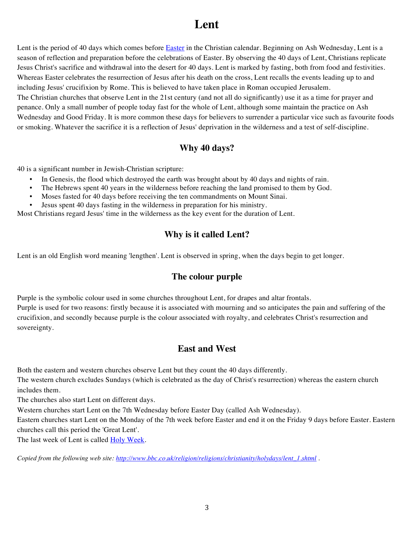# **Lent**

Lent is the period of 40 days which comes before **Easter** in the Christian calendar. Beginning on Ash Wednesday, Lent is a season of reflection and preparation before the celebrations of Easter. By observing the 40 days of Lent, Christians replicate Jesus Christ's sacrifice and withdrawal into the desert for 40 days. Lent is marked by fasting, both from food and festivities. Whereas Easter celebrates the resurrection of Jesus after his death on the cross, Lent recalls the events leading up to and including Jesus' crucifixion by Rome. This is believed to have taken place in Roman occupied Jerusalem. The Christian churches that observe Lent in the 21st century (and not all do significantly) use it as a time for prayer and penance. Only a small number of people today fast for the whole of Lent, although some maintain the practice on Ash Wednesday and Good Friday. It is more common these days for believers to surrender a particular vice such as favourite foods or smoking. Whatever the sacrifice it is a reflection of Jesus' deprivation in the wilderness and a test of self-discipline.

### **Why 40 days?**

40 is a significant number in Jewish-Christian scripture:

- In Genesis, the flood which destroyed the earth was brought about by 40 days and nights of rain.
- The Hebrews spent 40 years in the wilderness before reaching the land promised to them by God.
- Moses fasted for 40 days before receiving the ten commandments on Mount Sinai.
- Jesus spent 40 days fasting in the wilderness in preparation for his ministry.

Most Christians regard Jesus' time in the wilderness as the key event for the duration of Lent.

### **Why is it called Lent?**

Lent is an old English word meaning 'lengthen'. Lent is observed in spring, when the days begin to get longer.

### **The colour purple**

Purple is the symbolic colour used in some churches throughout Lent, for drapes and altar frontals. Purple is used for two reasons: firstly because it is associated with mourning and so anticipates the pain and suffering of the crucifixion, and secondly because purple is the colour associated with royalty, and celebrates Christ's resurrection and sovereignty.

### **East and West**

Both the eastern and western churches observe Lent but they count the 40 days differently.

The western church excludes Sundays (which is celebrated as the day of Christ's resurrection) whereas the eastern church includes them.

The churches also start Lent on different days.

Western churches start Lent on the 7th Wednesday before Easter Day (called Ash Wednesday).

Eastern churches start Lent on the Monday of the 7th week before Easter and end it on the Friday 9 days before Easter. Eastern churches call this period the 'Great Lent'.

The last week of Lent is called Holy Week.

*Copied from the following web site: http://www.bbc.co.uk/religion/religions/christianity/holydays/lent\_1.shtml .*